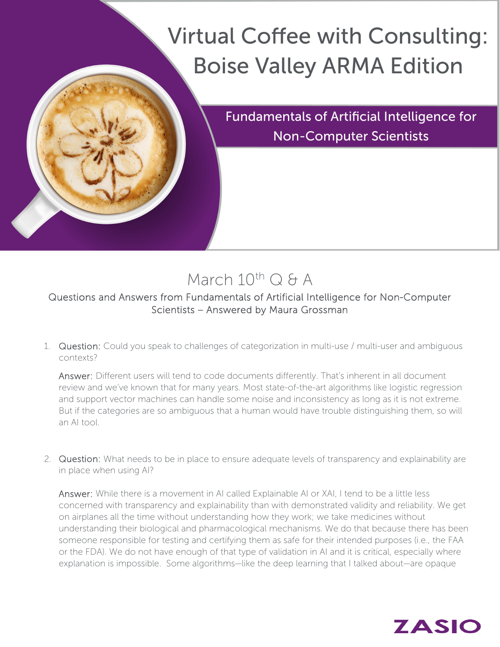## **Virtual Coffee with Consulting: Boise Valley ARMA Edition**

Fundamentals of Artificial Intelligence for **Non-Computer Scientists** 

## March  $10^{\text{th}}$  Q & A

## Questions and Answers from Fundamentals of Artificial Intelligence for Non-Computer Scientists – Answered by Maura Grossman

1. Question: Could you speak to challenges of categorization in multi-use / multi-user and ambiguous contexts?

Answer: Different users will tend to code documents differently. That's inherent in all document review and we've known that for many years. Most state-of-the-art algorithms like logistic regression and support vector machines can handle some noise and inconsistency as long as it is not extreme. But if the categories are so ambiguous that a human would have trouble distinguishing them, so will an AI tool.

2. Question: What needs to be in place to ensure adequate levels of transparency and explainability are in place when using AI?

Answer: While there is a movement in AI called Explainable AI or XAI, I tend to be a little less concerned with transparency and explainability than with demonstrated validity and reliability. We get on airplanes all the time without understanding how they work; we take medicines without understanding their biological and pharmacological mechanisms. We do that because there has been someone responsible for testing and certifying them as safe for their intended purposes (i.e., the FAA or the FDA). We do not have enough of that type of validation in AI and it is critical, especially where explanation is impossible. Some algorithms—like the deep learning that I talked about—are opaque